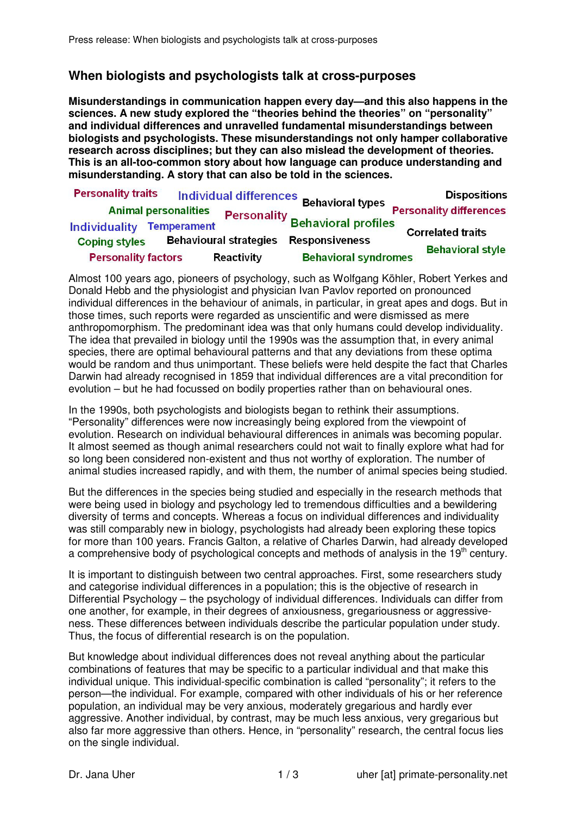## **When biologists and psychologists talk at cross-purposes**

**Misunderstandings in communication happen every day—and this also happens in the sciences. A new study explored the "theories behind the theories" on "personality" and individual differences and unravelled fundamental misunderstandings between biologists and psychologists. These misunderstandings not only hamper collaborative research across disciplines; but they can also mislead the development of theories. This is an all-too-common story about how language can produce understanding and misunderstanding. A story that can also be told in the sciences.** 

| <b>Personality traits</b>   |                               | Individual differences Behavioral types |                                                                               | <b>Dispositions</b>            |
|-----------------------------|-------------------------------|-----------------------------------------|-------------------------------------------------------------------------------|--------------------------------|
| <b>Animal personalities</b> |                               |                                         |                                                                               | <b>Personality differences</b> |
| <b>Individuality</b>        | <b>Temperament</b>            |                                         | <b>Example 13 Personality Behavioral profiles</b><br><b>Correlated traits</b> |                                |
| <b>Coping styles</b>        | <b>Behavioural strategies</b> |                                         | <b>Responsiveness</b>                                                         | <b>Behavioral style</b>        |
| <b>Personality factors</b>  |                               | <b>Reactivity</b>                       | <b>Behavioral syndromes</b>                                                   |                                |

Almost 100 years ago, pioneers of psychology, such as Wolfgang Köhler, Robert Yerkes and Donald Hebb and the physiologist and physician Ivan Pavlov reported on pronounced individual differences in the behaviour of animals, in particular, in great apes and dogs. But in those times, such reports were regarded as unscientific and were dismissed as mere anthropomorphism. The predominant idea was that only humans could develop individuality. The idea that prevailed in biology until the 1990s was the assumption that, in every animal species, there are optimal behavioural patterns and that any deviations from these optima would be random and thus unimportant. These beliefs were held despite the fact that Charles Darwin had already recognised in 1859 that individual differences are a vital precondition for evolution – but he had focussed on bodily properties rather than on behavioural ones.

In the 1990s, both psychologists and biologists began to rethink their assumptions. "Personality" differences were now increasingly being explored from the viewpoint of evolution. Research on individual behavioural differences in animals was becoming popular. It almost seemed as though animal researchers could not wait to finally explore what had for so long been considered non-existent and thus not worthy of exploration. The number of animal studies increased rapidly, and with them, the number of animal species being studied.

But the differences in the species being studied and especially in the research methods that were being used in biology and psychology led to tremendous difficulties and a bewildering diversity of terms and concepts. Whereas a focus on individual differences and individuality was still comparably new in biology, psychologists had already been exploring these topics for more than 100 years. Francis Galton, a relative of Charles Darwin, had already developed a comprehensive body of psychological concepts and methods of analysis in the 19<sup>th</sup> century.

It is important to distinguish between two central approaches. First, some researchers study and categorise individual differences in a population; this is the objective of research in Differential Psychology – the psychology of individual differences. Individuals can differ from one another, for example, in their degrees of anxiousness, gregariousness or aggressiveness. These differences between individuals describe the particular population under study. Thus, the focus of differential research is on the population.

But knowledge about individual differences does not reveal anything about the particular combinations of features that may be specific to a particular individual and that make this individual unique. This individual-specific combination is called "personality"; it refers to the person—the individual. For example, compared with other individuals of his or her reference population, an individual may be very anxious, moderately gregarious and hardly ever aggressive. Another individual, by contrast, may be much less anxious, very gregarious but also far more aggressive than others. Hence, in "personality" research, the central focus lies on the single individual.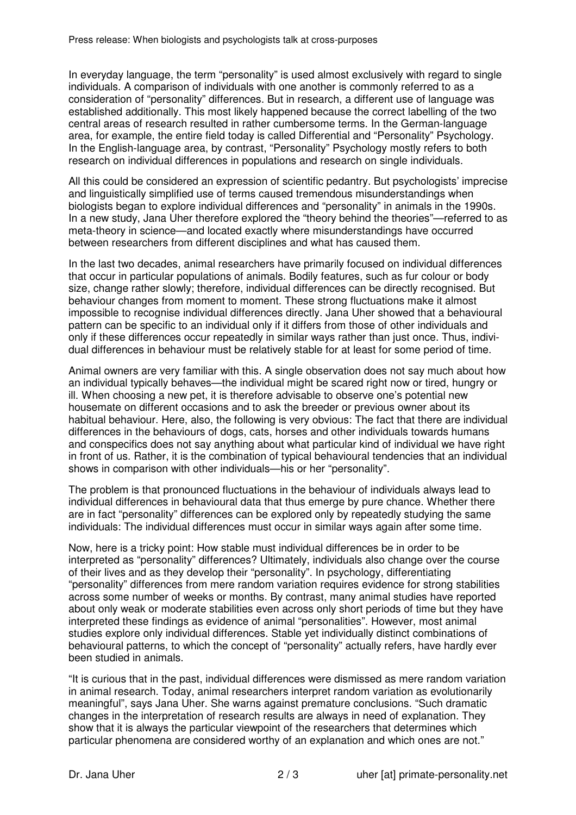In everyday language, the term "personality" is used almost exclusively with regard to single individuals. A comparison of individuals with one another is commonly referred to as a consideration of "personality" differences. But in research, a different use of language was established additionally. This most likely happened because the correct labelling of the two central areas of research resulted in rather cumbersome terms. In the German-language area, for example, the entire field today is called Differential and "Personality" Psychology. In the English-language area, by contrast, "Personality" Psychology mostly refers to both research on individual differences in populations and research on single individuals.

All this could be considered an expression of scientific pedantry. But psychologists' imprecise and linguistically simplified use of terms caused tremendous misunderstandings when biologists began to explore individual differences and "personality" in animals in the 1990s. In a new study, Jana Uher therefore explored the "theory behind the theories"—referred to as meta-theory in science—and located exactly where misunderstandings have occurred between researchers from different disciplines and what has caused them.

In the last two decades, animal researchers have primarily focused on individual differences that occur in particular populations of animals. Bodily features, such as fur colour or body size, change rather slowly; therefore, individual differences can be directly recognised. But behaviour changes from moment to moment. These strong fluctuations make it almost impossible to recognise individual differences directly. Jana Uher showed that a behavioural pattern can be specific to an individual only if it differs from those of other individuals and only if these differences occur repeatedly in similar ways rather than just once. Thus, individual differences in behaviour must be relatively stable for at least for some period of time.

Animal owners are very familiar with this. A single observation does not say much about how an individual typically behaves—the individual might be scared right now or tired, hungry or ill. When choosing a new pet, it is therefore advisable to observe one's potential new housemate on different occasions and to ask the breeder or previous owner about its habitual behaviour. Here, also, the following is very obvious: The fact that there are individual differences in the behaviours of dogs, cats, horses and other individuals towards humans and conspecifics does not say anything about what particular kind of individual we have right in front of us. Rather, it is the combination of typical behavioural tendencies that an individual shows in comparison with other individuals—his or her "personality".

The problem is that pronounced fluctuations in the behaviour of individuals always lead to individual differences in behavioural data that thus emerge by pure chance. Whether there are in fact "personality" differences can be explored only by repeatedly studying the same individuals: The individual differences must occur in similar ways again after some time.

Now, here is a tricky point: How stable must individual differences be in order to be interpreted as "personality" differences? Ultimately, individuals also change over the course of their lives and as they develop their "personality". In psychology, differentiating "personality" differences from mere random variation requires evidence for strong stabilities across some number of weeks or months. By contrast, many animal studies have reported about only weak or moderate stabilities even across only short periods of time but they have interpreted these findings as evidence of animal "personalities". However, most animal studies explore only individual differences. Stable yet individually distinct combinations of behavioural patterns, to which the concept of "personality" actually refers, have hardly ever been studied in animals.

"It is curious that in the past, individual differences were dismissed as mere random variation in animal research. Today, animal researchers interpret random variation as evolutionarily meaningful", says Jana Uher. She warns against premature conclusions. "Such dramatic changes in the interpretation of research results are always in need of explanation. They show that it is always the particular viewpoint of the researchers that determines which particular phenomena are considered worthy of an explanation and which ones are not."